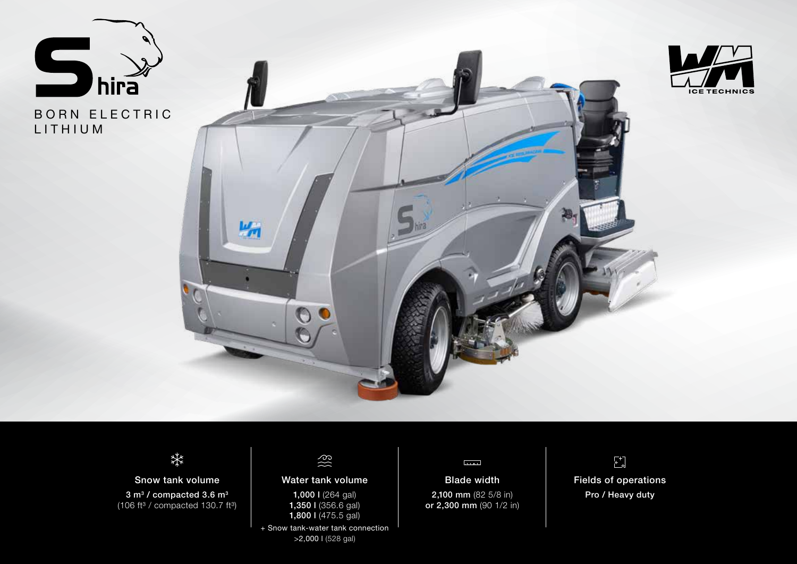

BORN ELECTRIC LITHIUM





# 柒

Snow tank volume 3 m<sup>3</sup> / compacted 3.6 m<sup>3</sup> (106 ft $3$  / compacted 130.7 ft $3$ )

## $\S \S$

#### Water tank volume

1,000 l (264 gal) 1,350 l (356.6 gal) 1,800 l (475.5 gal)

+ Snow tank-water tank connection >2,000 l (528 gal)

#### لسسا

Blade width 2,100 mm (82 5/8 in) or 2,300 mm (90 1/2 in)



Pro / Heavy duty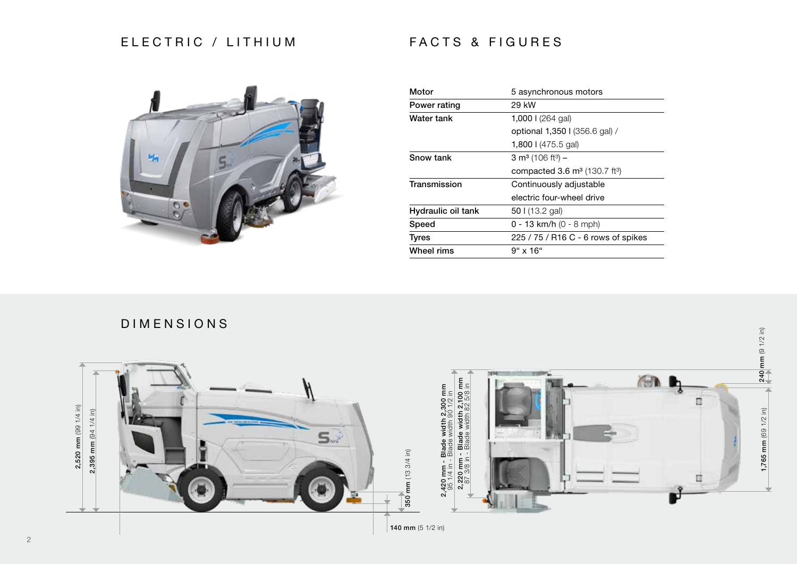### ELECTRIC / LITHIUM



| Motor              | 5 asynchronous motors                        |
|--------------------|----------------------------------------------|
| Power rating       | 29 kW                                        |
| Water tank         | 1,000 $\frac{1}{264}$ gal)                   |
|                    | optional 1,350   (356.6 gal) /               |
|                    | 1,800   $(475.5$ gal)                        |
| <b>Snow tank</b>   | 3 m <sup>3</sup> (106 ft <sup>3</sup> ) –    |
|                    | compacted 3.6 $m^3$ (130.7 ft <sup>3</sup> ) |
| Transmission       | Continuously adjustable                      |
|                    | electric four-wheel drive                    |
| Hydraulic oil tank | 50 $(13.2)$ gal)                             |
| Speed              | $0 - 13$ km/h $(0 - 8$ mph)                  |
| <b>Tyres</b>       | 225 / 75 / R16 C - 6 rows of spikes          |
| Wheel rims         | $9" \times 16"$                              |

FACTS & FIGURES





#### 2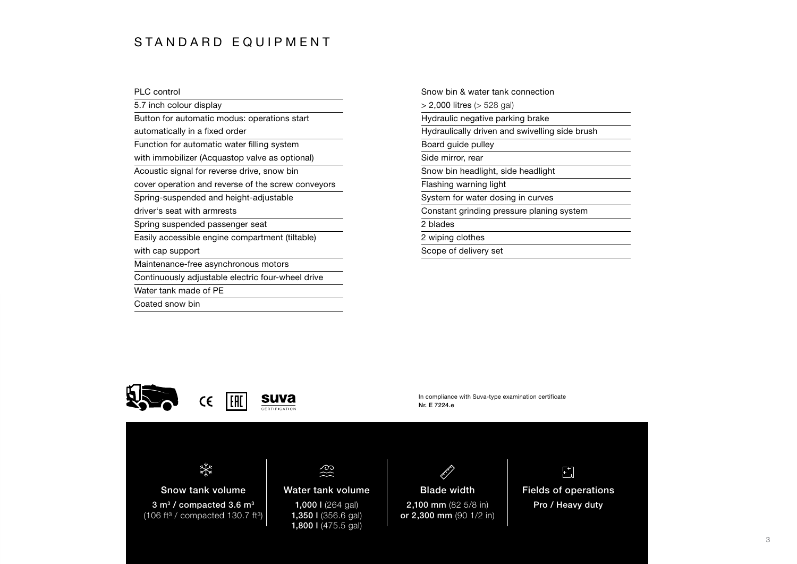### S TANDARD EQUIPMENT

| <b>PLC</b> control                                 |
|----------------------------------------------------|
| 5.7 inch colour display                            |
| Button for automatic modus: operations start       |
| automatically in a fixed order                     |
| Function for automatic water filling system        |
| with immobilizer (Acquastop valve as optional)     |
| Acoustic signal for reverse drive, snow bin        |
| cover operation and reverse of the screw conveyors |
| Spring-suspended and height-adjustable             |
| driver's seat with armrests                        |
| Spring suspended passenger seat                    |
| Easily accessible engine compartment (tiltable)    |
| with cap support                                   |
| Maintenance-free asynchronous motors               |
| Continuously adjustable electric four-wheel drive  |
| Water tank made of PE                              |
| Coated snow bin                                    |

Snow bin & water tank connection > 2,000 litres (> 528 gal) Hydraulic negative parking brake Hydraulically driven and swivelling side brush Board guide pulley Side mirror, rear Snow bin headlight, side headlight Flashing warning light System for water dosing in curves Constant grinding pressure planing system 2 blades 2 wiping clothes Scope of delivery set